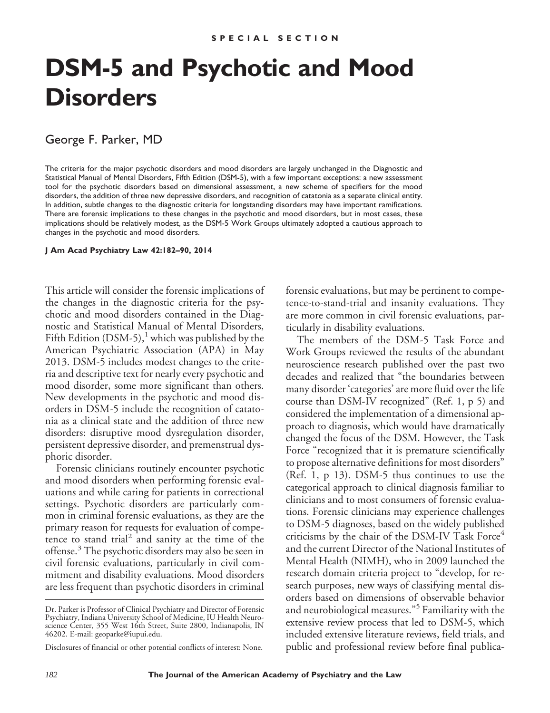# **DSM-5 and Psychotic and Mood Disorders**

George F. Parker, MD

The criteria for the major psychotic disorders and mood disorders are largely unchanged in the Diagnostic and Statistical Manual of Mental Disorders, Fifth Edition (DSM-5), with a few important exceptions: a new assessment tool for the psychotic disorders based on dimensional assessment, a new scheme of specifiers for the mood disorders, the addition of three new depressive disorders, and recognition of catatonia as a separate clinical entity. In addition, subtle changes to the diagnostic criteria for longstanding disorders may have important ramifications. There are forensic implications to these changes in the psychotic and mood disorders, but in most cases, these implications should be relatively modest, as the DSM-5 Work Groups ultimately adopted a cautious approach to changes in the psychotic and mood disorders.

#### **J Am Acad Psychiatry Law 42:182–90, 2014**

This article will consider the forensic implications of the changes in the diagnostic criteria for the psychotic and mood disorders contained in the Diagnostic and Statistical Manual of Mental Disorders, Fifth Edition (DSM-5),<sup>1</sup> which was published by the American Psychiatric Association (APA) in May 2013. DSM-5 includes modest changes to the criteria and descriptive text for nearly every psychotic and mood disorder, some more significant than others. New developments in the psychotic and mood disorders in DSM-5 include the recognition of catatonia as a clinical state and the addition of three new disorders: disruptive mood dysregulation disorder, persistent depressive disorder, and premenstrual dysphoric disorder.

Forensic clinicians routinely encounter psychotic and mood disorders when performing forensic evaluations and while caring for patients in correctional settings. Psychotic disorders are particularly common in criminal forensic evaluations, as they are the primary reason for requests for evaluation of competence to stand trial<sup>2</sup> and sanity at the time of the offense.<sup>3</sup> The psychotic disorders may also be seen in civil forensic evaluations, particularly in civil commitment and disability evaluations. Mood disorders are less frequent than psychotic disorders in criminal

forensic evaluations, but may be pertinent to competence-to-stand-trial and insanity evaluations. They are more common in civil forensic evaluations, particularly in disability evaluations.

The members of the DSM-5 Task Force and Work Groups reviewed the results of the abundant neuroscience research published over the past two decades and realized that "the boundaries between many disorder 'categories' are more fluid over the life course than DSM-IV recognized" (Ref. 1, p 5) and considered the implementation of a dimensional approach to diagnosis, which would have dramatically changed the focus of the DSM. However, the Task Force "recognized that it is premature scientifically to propose alternative definitions for most disorders" (Ref. 1, p 13). DSM-5 thus continues to use the categorical approach to clinical diagnosis familiar to clinicians and to most consumers of forensic evaluations. Forensic clinicians may experience challenges to DSM-5 diagnoses, based on the widely published criticisms by the chair of the DSM-IV Task Force<sup>4</sup> and the current Director of the National Institutes of Mental Health (NIMH), who in 2009 launched the research domain criteria project to "develop, for research purposes, new ways of classifying mental disorders based on dimensions of observable behavior and neurobiological measures."<sup>5</sup> Familiarity with the extensive review process that led to DSM-5, which included extensive literature reviews, field trials, and public and professional review before final publica-

Dr. Parker is Professor of Clinical Psychiatry and Director of Forensic Psychiatry, Indiana University School of Medicine, IU Health Neuroscience Center, 355 West 16th Street, Suite 2800, Indianapolis, IN 46202. E-mail: geoparke@iupui.edu.

Disclosures of financial or other potential conflicts of interest: None.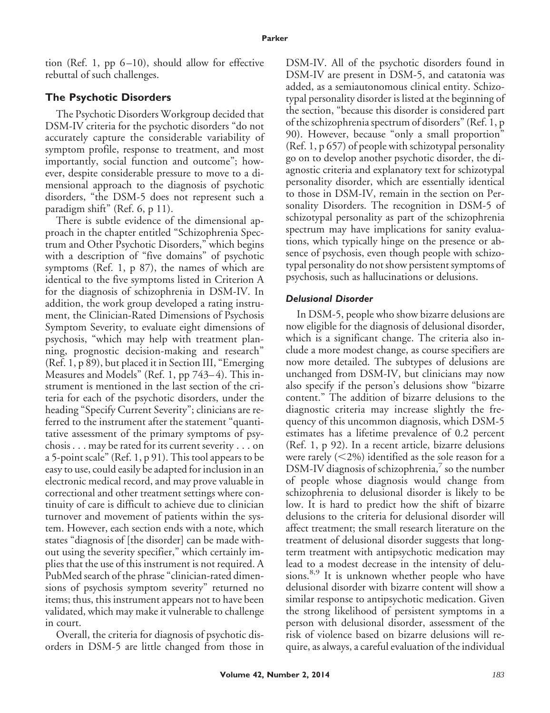tion (Ref. 1, pp  $6-10$ ), should allow for effective rebuttal of such challenges.

# **The Psychotic Disorders**

The Psychotic Disorders Workgroup decided that DSM-IV criteria for the psychotic disorders "do not accurately capture the considerable variability of symptom profile, response to treatment, and most importantly, social function and outcome"; however, despite considerable pressure to move to a dimensional approach to the diagnosis of psychotic disorders, "the DSM-5 does not represent such a paradigm shift" (Ref. 6, p 11).

There is subtle evidence of the dimensional approach in the chapter entitled "Schizophrenia Spectrum and Other Psychotic Disorders," which begins with a description of "five domains" of psychotic symptoms (Ref. 1, p 87), the names of which are identical to the five symptoms listed in Criterion A for the diagnosis of schizophrenia in DSM-IV. In addition, the work group developed a rating instrument, the Clinician-Rated Dimensions of Psychosis Symptom Severity, to evaluate eight dimensions of psychosis, "which may help with treatment planning, prognostic decision-making and research" (Ref. 1, p 89), but placed it in Section III, "Emerging Measures and Models" (Ref. 1, pp 743–4). This instrument is mentioned in the last section of the criteria for each of the psychotic disorders, under the heading "Specify Current Severity"; clinicians are referred to the instrument after the statement "quantitative assessment of the primary symptoms of psychosis . . . may be rated for its current severity . . . on a 5-point scale" (Ref. 1, p 91). This tool appears to be easy to use, could easily be adapted for inclusion in an electronic medical record, and may prove valuable in correctional and other treatment settings where continuity of care is difficult to achieve due to clinician turnover and movement of patients within the system. However, each section ends with a note, which states "diagnosis of [the disorder] can be made without using the severity specifier," which certainly implies that the use of this instrument is not required. A PubMed search of the phrase "clinician-rated dimensions of psychosis symptom severity" returned no items; thus, this instrument appears not to have been validated, which may make it vulnerable to challenge in court.

Overall, the criteria for diagnosis of psychotic disorders in DSM-5 are little changed from those in DSM-IV. All of the psychotic disorders found in DSM-IV are present in DSM-5, and catatonia was added, as a semiautonomous clinical entity. Schizotypal personality disorder is listed at the beginning of the section, "because this disorder is considered part of the schizophrenia spectrum of disorders" (Ref. 1, p 90). However, because "only a small proportion" (Ref. 1, p 657) of people with schizotypal personality go on to develop another psychotic disorder, the diagnostic criteria and explanatory text for schizotypal personality disorder, which are essentially identical to those in DSM-IV, remain in the section on Personality Disorders. The recognition in DSM-5 of schizotypal personality as part of the schizophrenia spectrum may have implications for sanity evaluations, which typically hinge on the presence or absence of psychosis, even though people with schizotypal personality do not show persistent symptoms of psychosis, such as hallucinations or delusions.

#### *Delusional Disorder*

In DSM-5, people who show bizarre delusions are now eligible for the diagnosis of delusional disorder, which is a significant change. The criteria also include a more modest change, as course specifiers are now more detailed. The subtypes of delusions are unchanged from DSM-IV, but clinicians may now also specify if the person's delusions show "bizarre content." The addition of bizarre delusions to the diagnostic criteria may increase slightly the frequency of this uncommon diagnosis, which DSM-5 estimates has a lifetime prevalence of 0.2 percent (Ref. 1, p 92). In a recent article, bizarre delusions were rarely ( $<$ 2%) identified as the sole reason for a DSM-IV diagnosis of schizophrenia,<sup>7</sup> so the number of people whose diagnosis would change from schizophrenia to delusional disorder is likely to be low. It is hard to predict how the shift of bizarre delusions to the criteria for delusional disorder will affect treatment; the small research literature on the treatment of delusional disorder suggests that longterm treatment with antipsychotic medication may lead to a modest decrease in the intensity of delusions.<sup>8,9</sup> It is unknown whether people who have delusional disorder with bizarre content will show a similar response to antipsychotic medication. Given the strong likelihood of persistent symptoms in a person with delusional disorder, assessment of the risk of violence based on bizarre delusions will require, as always, a careful evaluation of the individual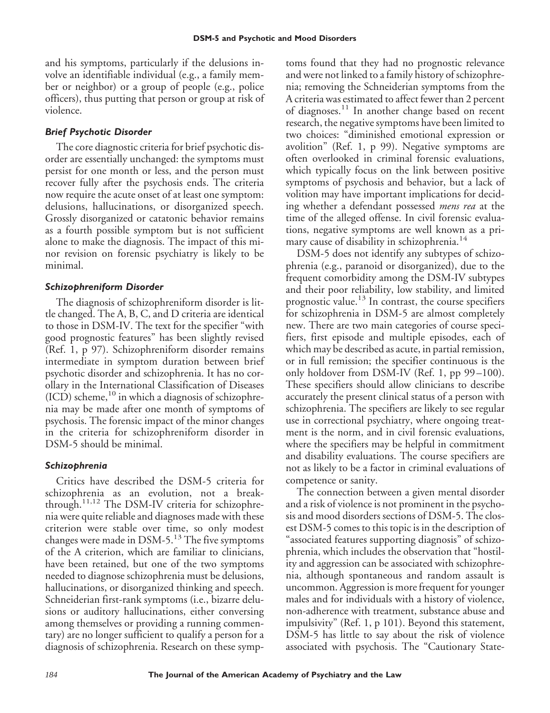and his symptoms, particularly if the delusions involve an identifiable individual (e.g., a family member or neighbor) or a group of people (e.g., police officers), thus putting that person or group at risk of violence.

#### *Brief Psychotic Disorder*

The core diagnostic criteria for brief psychotic disorder are essentially unchanged: the symptoms must persist for one month or less, and the person must recover fully after the psychosis ends. The criteria now require the acute onset of at least one symptom: delusions, hallucinations, or disorganized speech. Grossly disorganized or catatonic behavior remains as a fourth possible symptom but is not sufficient alone to make the diagnosis. The impact of this minor revision on forensic psychiatry is likely to be minimal.

#### *Schizophreniform Disorder*

The diagnosis of schizophreniform disorder is little changed. The A, B, C, and D criteria are identical to those in DSM-IV. The text for the specifier "with good prognostic features" has been slightly revised (Ref. 1, p 97). Schizophreniform disorder remains intermediate in symptom duration between brief psychotic disorder and schizophrenia. It has no corollary in the International Classification of Diseases  $(ICD)$  scheme,  $10$  in which a diagnosis of schizophrenia may be made after one month of symptoms of psychosis. The forensic impact of the minor changes in the criteria for schizophreniform disorder in DSM-5 should be minimal.

# *Schizophrenia*

Critics have described the DSM-5 criteria for schizophrenia as an evolution, not a breakthrough.11,12 The DSM-IV criteria for schizophrenia were quite reliable and diagnoses made with these criterion were stable over time, so only modest changes were made in DSM-5. $^{13}$  The five symptoms of the A criterion, which are familiar to clinicians, have been retained, but one of the two symptoms needed to diagnose schizophrenia must be delusions, hallucinations, or disorganized thinking and speech. Schneiderian first-rank symptoms (i.e., bizarre delusions or auditory hallucinations, either conversing among themselves or providing a running commentary) are no longer sufficient to qualify a person for a diagnosis of schizophrenia. Research on these symptoms found that they had no prognostic relevance and were not linked to a family history of schizophrenia; removing the Schneiderian symptoms from the A criteria was estimated to affect fewer than 2 percent of diagnoses.<sup>11</sup> In another change based on recent research, the negative symptoms have been limited to two choices: "diminished emotional expression or avolition" (Ref. 1, p 99). Negative symptoms are often overlooked in criminal forensic evaluations, which typically focus on the link between positive symptoms of psychosis and behavior, but a lack of volition may have important implications for deciding whether a defendant possessed *mens rea* at the time of the alleged offense. In civil forensic evaluations, negative symptoms are well known as a primary cause of disability in schizophrenia.<sup>14</sup>

DSM-5 does not identify any subtypes of schizophrenia (e.g., paranoid or disorganized), due to the frequent comorbidity among the DSM-IV subtypes and their poor reliability, low stability, and limited prognostic value.<sup>13</sup> In contrast, the course specifiers for schizophrenia in DSM-5 are almost completely new. There are two main categories of course specifiers, first episode and multiple episodes, each of which may be described as acute, in partial remission, or in full remission; the specifier continuous is the only holdover from DSM-IV (Ref. 1, pp 99 –100). These specifiers should allow clinicians to describe accurately the present clinical status of a person with schizophrenia. The specifiers are likely to see regular use in correctional psychiatry, where ongoing treatment is the norm, and in civil forensic evaluations, where the specifiers may be helpful in commitment and disability evaluations. The course specifiers are not as likely to be a factor in criminal evaluations of competence or sanity.

The connection between a given mental disorder and a risk of violence is not prominent in the psychosis and mood disorders sections of DSM-5. The closest DSM-5 comes to this topic is in the description of "associated features supporting diagnosis" of schizophrenia, which includes the observation that "hostility and aggression can be associated with schizophrenia, although spontaneous and random assault is uncommon. Aggression is more frequent for younger males and for individuals with a history of violence, non-adherence with treatment, substance abuse and impulsivity" (Ref. 1, p 101). Beyond this statement, DSM-5 has little to say about the risk of violence associated with psychosis. The "Cautionary State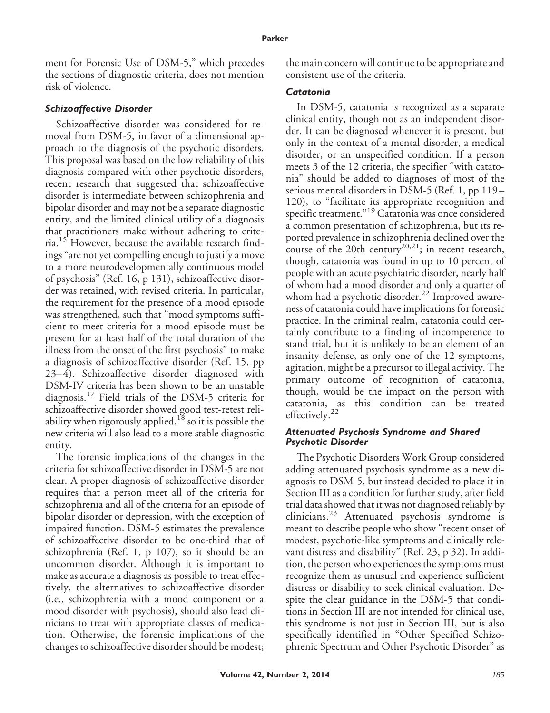ment for Forensic Use of DSM-5," which precedes the sections of diagnostic criteria, does not mention risk of violence.

#### *Schizoaffective Disorder*

Schizoaffective disorder was considered for removal from DSM-5, in favor of a dimensional approach to the diagnosis of the psychotic disorders. This proposal was based on the low reliability of this diagnosis compared with other psychotic disorders, recent research that suggested that schizoaffective disorder is intermediate between schizophrenia and bipolar disorder and may not be a separate diagnostic entity, and the limited clinical utility of a diagnosis that practitioners make without adhering to criteria.<sup>15</sup> However, because the available research findings "are not yet compelling enough to justify a move to a more neurodevelopmentally continuous model of psychosis" (Ref. 16, p 131), schizoaffective disorder was retained, with revised criteria. In particular, the requirement for the presence of a mood episode was strengthened, such that "mood symptoms sufficient to meet criteria for a mood episode must be present for at least half of the total duration of the illness from the onset of the first psychosis" to make a diagnosis of schizoaffective disorder (Ref. 15, pp 23– 4). Schizoaffective disorder diagnosed with DSM-IV criteria has been shown to be an unstable diagnosis.<sup>17</sup> Field trials of the DSM-5 criteria for schizoaffective disorder showed good test-retest reliability when rigorously applied, $18$  so it is possible the new criteria will also lead to a more stable diagnostic entity.

The forensic implications of the changes in the criteria for schizoaffective disorder in DSM-5 are not clear. A proper diagnosis of schizoaffective disorder requires that a person meet all of the criteria for schizophrenia and all of the criteria for an episode of bipolar disorder or depression, with the exception of impaired function. DSM-5 estimates the prevalence of schizoaffective disorder to be one-third that of schizophrenia (Ref. 1, p 107), so it should be an uncommon disorder. Although it is important to make as accurate a diagnosis as possible to treat effectively, the alternatives to schizoaffective disorder (i.e., schizophrenia with a mood component or a mood disorder with psychosis), should also lead clinicians to treat with appropriate classes of medication. Otherwise, the forensic implications of the changes to schizoaffective disorder should be modest;

the main concern will continue to be appropriate and consistent use of the criteria.

### *Catatonia*

In DSM-5, catatonia is recognized as a separate clinical entity, though not as an independent disorder. It can be diagnosed whenever it is present, but only in the context of a mental disorder, a medical disorder, or an unspecified condition. If a person meets 3 of the 12 criteria, the specifier "with catatonia" should be added to diagnoses of most of the serious mental disorders in DSM-5 (Ref. 1, pp 119 – 120), to "facilitate its appropriate recognition and specific treatment."<sup>19</sup> Catatonia was once considered a common presentation of schizophrenia, but its reported prevalence in schizophrenia declined over the course of the 20th century<sup>20,21</sup>; in recent research, though, catatonia was found in up to 10 percent of people with an acute psychiatric disorder, nearly half of whom had a mood disorder and only a quarter of whom had a psychotic disorder.<sup>22</sup> Improved awareness of catatonia could have implications for forensic practice. In the criminal realm, catatonia could certainly contribute to a finding of incompetence to stand trial, but it is unlikely to be an element of an insanity defense, as only one of the 12 symptoms, agitation, might be a precursor to illegal activity. The primary outcome of recognition of catatonia, though, would be the impact on the person with catatonia, as this condition can be treated effectively.<sup>22</sup>

#### *Attenuated Psychosis Syndrome and Shared Psychotic Disorder*

The Psychotic Disorders Work Group considered adding attenuated psychosis syndrome as a new diagnosis to DSM-5, but instead decided to place it in Section III as a condition for further study, after field trial data showed that it was not diagnosed reliably by clinicians.<sup>23</sup> Attenuated psychosis syndrome is meant to describe people who show "recent onset of modest, psychotic-like symptoms and clinically relevant distress and disability" (Ref. 23, p 32). In addition, the person who experiences the symptoms must recognize them as unusual and experience sufficient distress or disability to seek clinical evaluation. Despite the clear guidance in the DSM-5 that conditions in Section III are not intended for clinical use, this syndrome is not just in Section III, but is also specifically identified in "Other Specified Schizophrenic Spectrum and Other Psychotic Disorder" as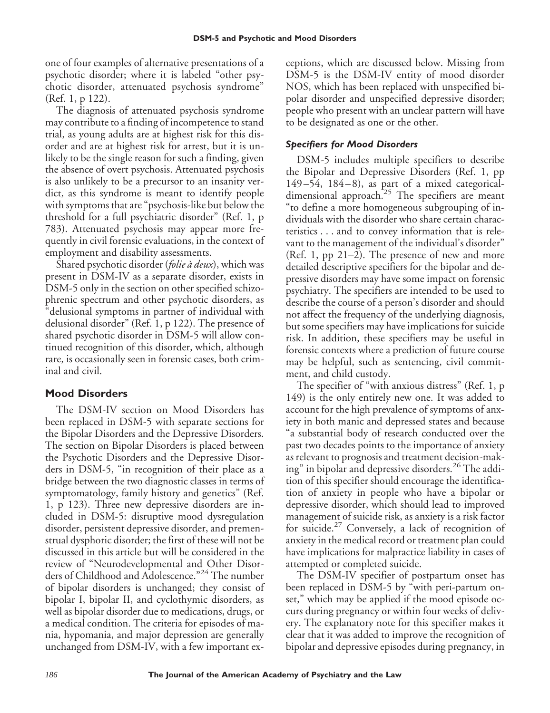one of four examples of alternative presentations of a psychotic disorder; where it is labeled "other psychotic disorder, attenuated psychosis syndrome" (Ref. 1, p 122).

The diagnosis of attenuated psychosis syndrome may contribute to a finding of incompetence to stand trial, as young adults are at highest risk for this disorder and are at highest risk for arrest, but it is unlikely to be the single reason for such a finding, given the absence of overt psychosis. Attenuated psychosis is also unlikely to be a precursor to an insanity verdict, as this syndrome is meant to identify people with symptoms that are "psychosis-like but below the threshold for a full psychiatric disorder" (Ref. 1, p 783). Attenuated psychosis may appear more frequently in civil forensic evaluations, in the context of employment and disability assessments.

Shared psychotic disorder (*folie a` deux*), which was present in DSM-IV as a separate disorder, exists in DSM-5 only in the section on other specified schizophrenic spectrum and other psychotic disorders, as "delusional symptoms in partner of individual with delusional disorder" (Ref. 1, p 122). The presence of shared psychotic disorder in DSM-5 will allow continued recognition of this disorder, which, although rare, is occasionally seen in forensic cases, both criminal and civil.

# **Mood Disorders**

The DSM-IV section on Mood Disorders has been replaced in DSM-5 with separate sections for the Bipolar Disorders and the Depressive Disorders. The section on Bipolar Disorders is placed between the Psychotic Disorders and the Depressive Disorders in DSM-5, "in recognition of their place as a bridge between the two diagnostic classes in terms of symptomatology, family history and genetics" (Ref. 1, p 123). Three new depressive disorders are included in DSM-5: disruptive mood dysregulation disorder, persistent depressive disorder, and premenstrual dysphoric disorder; the first of these will not be discussed in this article but will be considered in the review of "Neurodevelopmental and Other Disorders of Childhood and Adolescence."<sup>24</sup> The number of bipolar disorders is unchanged; they consist of bipolar I, bipolar II, and cyclothymic disorders, as well as bipolar disorder due to medications, drugs, or a medical condition. The criteria for episodes of mania, hypomania, and major depression are generally unchanged from DSM-IV, with a few important exceptions, which are discussed below. Missing from DSM-5 is the DSM-IV entity of mood disorder NOS, which has been replaced with unspecified bipolar disorder and unspecified depressive disorder; people who present with an unclear pattern will have to be designated as one or the other.

# *Specifiers for Mood Disorders*

DSM-5 includes multiple specifiers to describe the Bipolar and Depressive Disorders (Ref. 1, pp  $149 - 54$ ,  $184 - 8$ ), as part of a mixed categoricaldimensional approach.<sup>25</sup> The specifiers are meant "to define a more homogeneous subgrouping of individuals with the disorder who share certain characteristics . . . and to convey information that is relevant to the management of the individual's disorder" (Ref. 1, pp 21–2). The presence of new and more detailed descriptive specifiers for the bipolar and depressive disorders may have some impact on forensic psychiatry. The specifiers are intended to be used to describe the course of a person's disorder and should not affect the frequency of the underlying diagnosis, but some specifiers may have implications for suicide risk. In addition, these specifiers may be useful in forensic contexts where a prediction of future course may be helpful, such as sentencing, civil commitment, and child custody.

The specifier of "with anxious distress" (Ref. 1, p 149) is the only entirely new one. It was added to account for the high prevalence of symptoms of anxiety in both manic and depressed states and because "a substantial body of research conducted over the past two decades points to the importance of anxiety as relevant to prognosis and treatment decision-making" in bipolar and depressive disorders.<sup>26</sup> The addition of this specifier should encourage the identification of anxiety in people who have a bipolar or depressive disorder, which should lead to improved management of suicide risk, as anxiety is a risk factor for suicide.<sup>27</sup> Conversely, a lack of recognition of anxiety in the medical record or treatment plan could have implications for malpractice liability in cases of attempted or completed suicide.

The DSM-IV specifier of postpartum onset has been replaced in DSM-5 by "with peri-partum onset," which may be applied if the mood episode occurs during pregnancy or within four weeks of delivery. The explanatory note for this specifier makes it clear that it was added to improve the recognition of bipolar and depressive episodes during pregnancy, in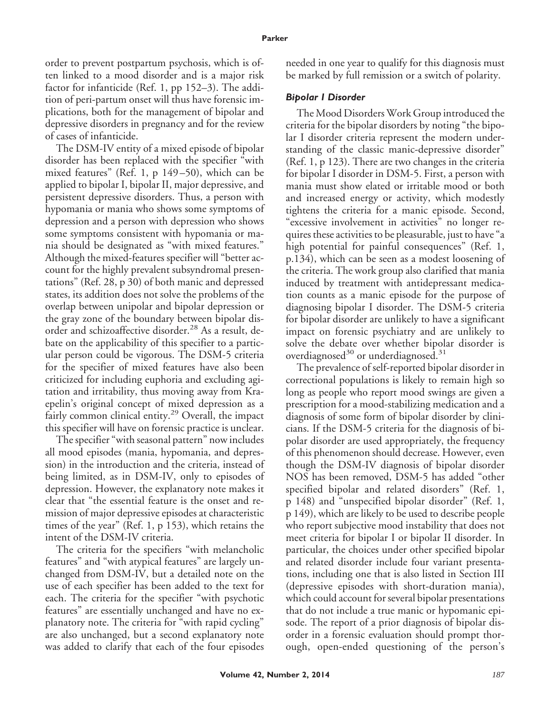order to prevent postpartum psychosis, which is often linked to a mood disorder and is a major risk factor for infanticide (Ref. 1, pp 152–3). The addition of peri-partum onset will thus have forensic implications, both for the management of bipolar and depressive disorders in pregnancy and for the review of cases of infanticide.

The DSM-IV entity of a mixed episode of bipolar disorder has been replaced with the specifier "with mixed features" (Ref. 1, p 149 –50), which can be applied to bipolar I, bipolar II, major depressive, and persistent depressive disorders. Thus, a person with hypomania or mania who shows some symptoms of depression and a person with depression who shows some symptoms consistent with hypomania or mania should be designated as "with mixed features." Although the mixed-features specifier will "better account for the highly prevalent subsyndromal presentations" (Ref. 28, p 30) of both manic and depressed states, its addition does not solve the problems of the overlap between unipolar and bipolar depression or the gray zone of the boundary between bipolar disorder and schizoaffective disorder.<sup>28</sup> As a result, debate on the applicability of this specifier to a particular person could be vigorous. The DSM-5 criteria for the specifier of mixed features have also been criticized for including euphoria and excluding agitation and irritability, thus moving away from Kraepelin's original concept of mixed depression as a fairly common clinical entity.<sup>29</sup> Overall, the impact this specifier will have on forensic practice is unclear.

The specifier "with seasonal pattern" now includes all mood episodes (mania, hypomania, and depression) in the introduction and the criteria, instead of being limited, as in DSM-IV, only to episodes of depression. However, the explanatory note makes it clear that "the essential feature is the onset and remission of major depressive episodes at characteristic times of the year" (Ref. 1, p 153), which retains the intent of the DSM-IV criteria.

The criteria for the specifiers "with melancholic features" and "with atypical features" are largely unchanged from DSM-IV, but a detailed note on the use of each specifier has been added to the text for each. The criteria for the specifier "with psychotic features" are essentially unchanged and have no explanatory note. The criteria for "with rapid cycling" are also unchanged, but a second explanatory note was added to clarify that each of the four episodes needed in one year to qualify for this diagnosis must be marked by full remission or a switch of polarity.

#### *Bipolar I Disorder*

The Mood Disorders Work Group introduced the criteria for the bipolar disorders by noting "the bipolar I disorder criteria represent the modern understanding of the classic manic-depressive disorder" (Ref. 1, p 123). There are two changes in the criteria for bipolar I disorder in DSM-5. First, a person with mania must show elated or irritable mood or both and increased energy or activity, which modestly tightens the criteria for a manic episode. Second, "excessive involvement in activities" no longer requires these activities to be pleasurable, just to have "a high potential for painful consequences" (Ref. 1, p.134), which can be seen as a modest loosening of the criteria. The work group also clarified that mania induced by treatment with antidepressant medication counts as a manic episode for the purpose of diagnosing bipolar I disorder. The DSM-5 criteria for bipolar disorder are unlikely to have a significant impact on forensic psychiatry and are unlikely to solve the debate over whether bipolar disorder is overdiagnosed $30$  or underdiagnosed. $31$ 

The prevalence of self-reported bipolar disorder in correctional populations is likely to remain high so long as people who report mood swings are given a prescription for a mood-stabilizing medication and a diagnosis of some form of bipolar disorder by clinicians. If the DSM-5 criteria for the diagnosis of bipolar disorder are used appropriately, the frequency of this phenomenon should decrease. However, even though the DSM-IV diagnosis of bipolar disorder NOS has been removed, DSM-5 has added "other specified bipolar and related disorders" (Ref. 1, p 148) and "unspecified bipolar disorder" (Ref. 1, p 149), which are likely to be used to describe people who report subjective mood instability that does not meet criteria for bipolar I or bipolar II disorder. In particular, the choices under other specified bipolar and related disorder include four variant presentations, including one that is also listed in Section III (depressive episodes with short-duration mania), which could account for several bipolar presentations that do not include a true manic or hypomanic episode. The report of a prior diagnosis of bipolar disorder in a forensic evaluation should prompt thorough, open-ended questioning of the person's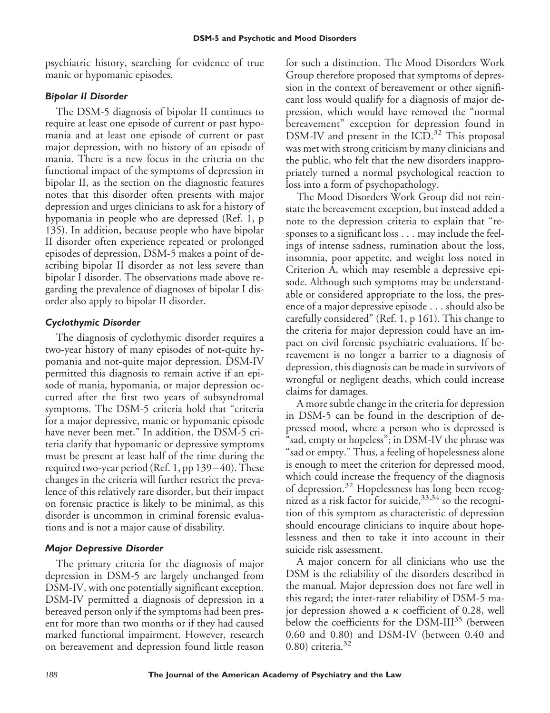psychiatric history, searching for evidence of true manic or hypomanic episodes.

# *Bipolar II Disorder*

The DSM-5 diagnosis of bipolar II continues to require at least one episode of current or past hypomania and at least one episode of current or past major depression, with no history of an episode of mania. There is a new focus in the criteria on the functional impact of the symptoms of depression in bipolar II, as the section on the diagnostic features notes that this disorder often presents with major depression and urges clinicians to ask for a history of hypomania in people who are depressed (Ref. 1, p 135). In addition, because people who have bipolar II disorder often experience repeated or prolonged episodes of depression, DSM-5 makes a point of describing bipolar II disorder as not less severe than bipolar I disorder. The observations made above regarding the prevalence of diagnoses of bipolar I disorder also apply to bipolar II disorder.

# *Cyclothymic Disorder*

The diagnosis of cyclothymic disorder requires a two-year history of many episodes of not-quite hypomania and not-quite major depression. DSM-IV permitted this diagnosis to remain active if an episode of mania, hypomania, or major depression occurred after the first two years of subsyndromal symptoms. The DSM-5 criteria hold that "criteria for a major depressive, manic or hypomanic episode have never been met." In addition, the DSM-5 criteria clarify that hypomanic or depressive symptoms must be present at least half of the time during the required two-year period (Ref. 1, pp 139 – 40). These changes in the criteria will further restrict the prevalence of this relatively rare disorder, but their impact on forensic practice is likely to be minimal, as this disorder is uncommon in criminal forensic evaluations and is not a major cause of disability.

# *Major Depressive Disorder*

The primary criteria for the diagnosis of major depression in DSM-5 are largely unchanged from DSM-IV, with one potentially significant exception. DSM-IV permitted a diagnosis of depression in a bereaved person only if the symptoms had been present for more than two months or if they had caused marked functional impairment. However, research on bereavement and depression found little reason

for such a distinction. The Mood Disorders Work Group therefore proposed that symptoms of depression in the context of bereavement or other significant loss would qualify for a diagnosis of major depression, which would have removed the "normal bereavement" exception for depression found in DSM-IV and present in the ICD.<sup>32</sup> This proposal was met with strong criticism by many clinicians and the public, who felt that the new disorders inappropriately turned a normal psychological reaction to loss into a form of psychopathology.

The Mood Disorders Work Group did not reinstate the bereavement exception, but instead added a note to the depression criteria to explain that "responses to a significant loss . . . may include the feelings of intense sadness, rumination about the loss, insomnia, poor appetite, and weight loss noted in Criterion A, which may resemble a depressive episode. Although such symptoms may be understandable or considered appropriate to the loss, the presence of a major depressive episode... should also be carefully considered" (Ref. 1, p 161). This change to the criteria for major depression could have an impact on civil forensic psychiatric evaluations. If bereavement is no longer a barrier to a diagnosis of depression, this diagnosis can be made in survivors of wrongful or negligent deaths, which could increase claims for damages.

A more subtle change in the criteria for depression in DSM-5 can be found in the description of depressed mood, where a person who is depressed is "sad, empty or hopeless"; in DSM-IV the phrase was "sad or empty." Thus, a feeling of hopelessness alone is enough to meet the criterion for depressed mood, which could increase the frequency of the diagnosis of depression.<sup>32</sup> Hopelessness has long been recognized as a risk factor for suicide,  $33,34$  so the recognition of this symptom as characteristic of depression should encourage clinicians to inquire about hopelessness and then to take it into account in their suicide risk assessment.

A major concern for all clinicians who use the DSM is the reliability of the disorders described in the manual. Major depression does not fare well in this regard; the inter-rater reliability of DSM-5 major depression showed a  $\kappa$  coefficient of 0.28, well below the coefficients for the DSM-III<sup>35</sup> (between 0.60 and 0.80) and DSM-IV (between 0.40 and  $(0.80)$  criteria.<sup>32</sup>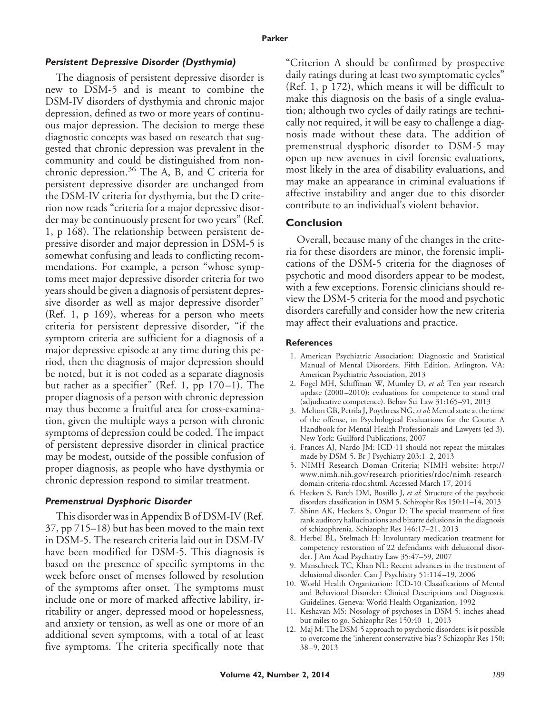#### *Persistent Depressive Disorder (Dysthymia)*

The diagnosis of persistent depressive disorder is new to DSM-5 and is meant to combine the DSM-IV disorders of dysthymia and chronic major depression, defined as two or more years of continuous major depression. The decision to merge these diagnostic concepts was based on research that suggested that chronic depression was prevalent in the community and could be distinguished from nonchronic depression.<sup>36</sup> The A, B, and C criteria for persistent depressive disorder are unchanged from the DSM-IV criteria for dysthymia, but the D criterion now reads "criteria for a major depressive disorder may be continuously present for two years" (Ref. 1, p 168). The relationship between persistent depressive disorder and major depression in DSM-5 is somewhat confusing and leads to conflicting recommendations. For example, a person "whose symptoms meet major depressive disorder criteria for two years should be given a diagnosis of persistent depressive disorder as well as major depressive disorder" (Ref. 1, p 169), whereas for a person who meets criteria for persistent depressive disorder, "if the symptom criteria are sufficient for a diagnosis of a major depressive episode at any time during this period, then the diagnosis of major depression should be noted, but it is not coded as a separate diagnosis but rather as a specifier" (Ref. 1, pp  $170-1$ ). The proper diagnosis of a person with chronic depression may thus become a fruitful area for cross-examination, given the multiple ways a person with chronic symptoms of depression could be coded. The impact of persistent depressive disorder in clinical practice may be modest, outside of the possible confusion of proper diagnosis, as people who have dysthymia or chronic depression respond to similar treatment.

#### *Premenstrual Dysphoric Disorder*

This disorder was in Appendix B of DSM-IV (Ref. 37, pp 715–18) but has been moved to the main text in DSM-5. The research criteria laid out in DSM-IV have been modified for DSM-5. This diagnosis is based on the presence of specific symptoms in the week before onset of menses followed by resolution of the symptoms after onset. The symptoms must include one or more of marked affective lability, irritability or anger, depressed mood or hopelessness, and anxiety or tension, as well as one or more of an additional seven symptoms, with a total of at least five symptoms. The criteria specifically note that "Criterion A should be confirmed by prospective daily ratings during at least two symptomatic cycles" (Ref. 1, p 172), which means it will be difficult to make this diagnosis on the basis of a single evaluation; although two cycles of daily ratings are technically not required, it will be easy to challenge a diagnosis made without these data. The addition of premenstrual dysphoric disorder to DSM-5 may open up new avenues in civil forensic evaluations, most likely in the area of disability evaluations, and may make an appearance in criminal evaluations if affective instability and anger due to this disorder contribute to an individual's violent behavior.

#### **Conclusion**

Overall, because many of the changes in the criteria for these disorders are minor, the forensic implications of the DSM-5 criteria for the diagnoses of psychotic and mood disorders appear to be modest, with a few exceptions. Forensic clinicians should review the DSM-5 criteria for the mood and psychotic disorders carefully and consider how the new criteria may affect their evaluations and practice.

#### **References**

- 1. American Psychiatric Association: Diagnostic and Statistical Manual of Mental Disorders, Fifth Edition. Arlington, VA: American Psychiatric Association, 2013
- 2. Fogel MH, Schiffman W, Mumley D, *et al*: Ten year research update (2000 –2010): evaluations for competence to stand trial (adjudicative competence). Behav Sci Law 31:165–91, 2013
- 3. Melton GB, Petrila J, Poythress NG,*et al*: Mental state at the time of the offense, in Psychological Evaluations for the Courts: A Handbook for Mental Health Professionals and Lawyers (ed 3). New York: Guilford Publications, 2007
- 4. Frances AJ, Nardo JM: ICD-11 should not repeat the mistakes made by DSM-5. Br J Psychiatry 203:1–2, 2013
- 5. NIMH Research Doman Criteria; NIMH website: http:// www.nimh.nih.gov/research-priorities/rdoc/nimh-researchdomain-criteria-rdoc.shtml. Accessed March 17, 2014
- 6. Heckers S, Barch DM, Bustillo J, *et al*: Structure of the psychotic disorders classification in DSM 5. Schizophr Res 150:11–14, 2013
- 7. Shinn AK, Heckers S, Ongur D: The special treatment of first rank auditory hallucinations and bizarre delusions in the diagnosis of schizophrenia. Schizophr Res 146:17–21, 2013
- 8. Herbel BL, Stelmach H: Involuntary medication treatment for competency restoration of 22 defendants with delusional disorder. J Am Acad Psychiatry Law 35:47–59, 2007
- 9. Manschreck TC, Khan NL: Recent advances in the treatment of delusional disorder. Can J Psychiatry 51:114 –19, 2006
- 10. World Health Organization: ICD-10 Classifications of Mental and Behavioral Disorder: Clinical Descriptions and Diagnostic Guidelines. Geneva: World Health Organization, 1992
- 11. Keshavan MS: Nosology of psychoses in DSM-5: inches ahead but miles to go. Schizophr Res 150:40-1, 2013
- 12. Maj M: The DSM-5 approach to psychotic disorders: is it possible to overcome the 'inherent conservative bias'? Schizophr Res 150: 38 –9, 2013